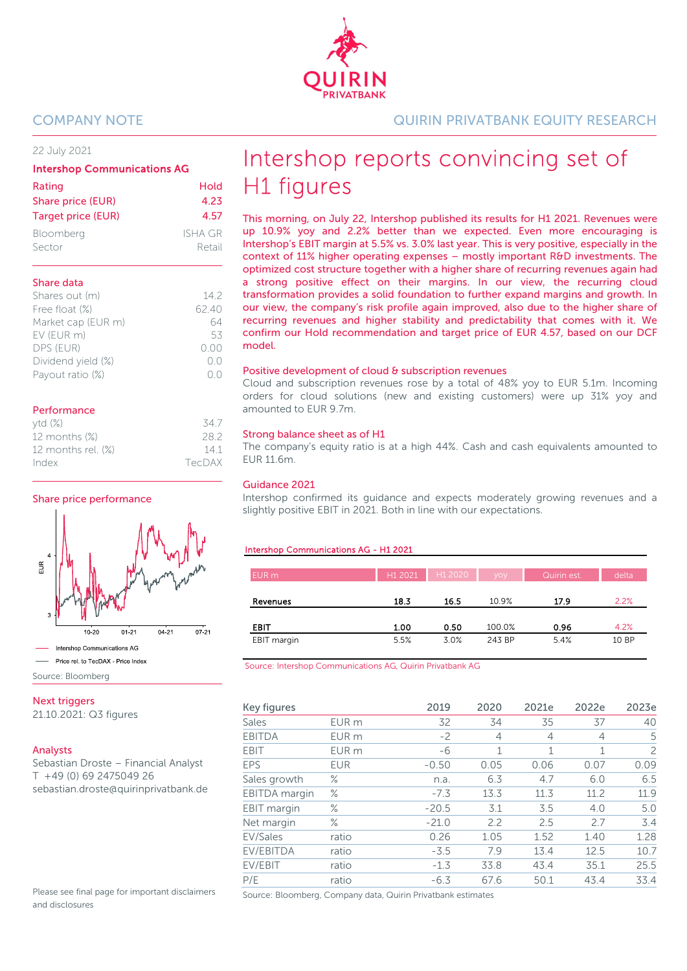22 July 2021

| <b>Intershop Communications AG</b> |         |  |  |  |  |  |
|------------------------------------|---------|--|--|--|--|--|
| Rating                             | Hold    |  |  |  |  |  |
| Share price (EUR)                  | 4.23    |  |  |  |  |  |
| Target price (EUR)                 | 4.57    |  |  |  |  |  |
| Bloomberg                          | ISHA GR |  |  |  |  |  |

Sector Retail

| Share data         |        |
|--------------------|--------|
| Shares out (m)     | 142    |
| Free float (%)     | 62.40  |
| Market cap (EUR m) | 64     |
| EV (EUR m)         | 53     |
| DPS (EUR)          | (0.00) |
| Dividend yield (%) | ()()   |
| Payout ratio (%)   |        |

#### Performance

| ytd(%)             | -34 7  |
|--------------------|--------|
| 12 months (%)      | 282    |
| 12 months rel. (%) | 141    |
| Index              | TecDAX |

#### Share price performance



Source: Bloomberg

**Next triggers** 

21.10.2021: Q3 figures

#### Analysts

Sebastian Droste – Financial Analyst T +49 (0) 69 2475049 26 sebastian.droste@quirinprivatbank.de

Please see final page for important disclaimers and disclosures

COMPANY NOTE QUIRIN PRIVATBANK EQUITY RESEARCH

# Intershop reports convincing set of H1 figures

This morning, on July 22, Intershop published its results for H1 2021. Revenues were up 10.9% yoy and 2.2% better than we expected. Even more encouraging is Intershop's EBIT margin at 5.5% vs. 3.0% last year. This is very positive, especially in the context of 11% higher operating expenses – mostly important R&D investments. The optimized cost structure together with a higher share of recurring revenues again had a strong positive effect on their margins. In our view, the recurring cloud transformation provides a solid foundation to further expand margins and growth. In our view, the company's risk profile again improved, also due to the higher share of recurring revenues and higher stability and predictability that comes with it. We confirm our Hold recommendation and target price of EUR 4.57, based on our DCF model.

#### Positive development of cloud & subscription revenues

Cloud and subscription revenues rose by a total of 48% yoy to EUR 5.1m. Incoming orders for cloud solutions (new and existing customers) were up 31% yoy and amounted to EUR 9.7m.

#### Strong balance sheet as of H1

The company's equity ratio is at a high 44%. Cash and cash equivalents amounted to EUR 11.6m.

#### Guidance 2021

Intershop confirmed its guidance and expects moderately growing revenues and a slightly positive EBIT in 2021. Both in line with our expectations.

#### Intershop Communications AG - H1 2021

| EUR <sub>m</sub> | H1 2021 | H <sub>1</sub> 2020 | yoy    | Quirin est. | delta |
|------------------|---------|---------------------|--------|-------------|-------|
| Revenues         | 18.3    | 16.5                | 10.9%  | 17.9        | 2.2%  |
| EBIT             | 1.00    | 0.50                | 100.0% | 0.96        | 4.2%  |
| EBIT margin      | 5.5%    | 3.0%                | 243 BP | 5.4%        | 10 BP |

Source: Intershop Communications AG, Quirin Privatbank AG

| Key figures        |                  | 2019    | 2020           | 2021e          | 2022e          | 2023e |
|--------------------|------------------|---------|----------------|----------------|----------------|-------|
| Sales              | EUR <sub>m</sub> | 32      | 34             | 35             | 37             | 40    |
| <b>EBITDA</b>      | EUR <sub>m</sub> | $-2$    | $\overline{4}$ | $\overline{4}$ | $\overline{4}$ | 5     |
| <b>EBIT</b>        | EUR <sub>m</sub> | -6      | 1              | 1              | 1              | 2     |
| EPS                | <b>EUR</b>       | $-0.50$ | 0.05           | 0.06           | 0.07           | 0.09  |
| Sales growth       | ℅                | n.a.    | 6.3            | 4.7            | 6.0            | 6.5   |
| EBITDA margin      | ℅                | $-7.3$  | 13.3           | 11.3           | 11.2           | 11.9  |
| <b>EBIT</b> margin | ℅                | $-20.5$ | 3.1            | 3.5            | 4.0            | 5.0   |
| Net margin         | ℅                | $-21.0$ | 2.2            | 2.5            | 2.7            | 3.4   |
| EV/Sales           | ratio            | 0.26    | 1.05           | 1.52           | 1.40           | 1.28  |
| EV/EBITDA          | ratio            | $-3.5$  | 7.9            | 13.4           | 12.5           | 10.7  |
| EV/EBIT            | ratio            | $-1.3$  | 33.8           | 43.4           | 35.1           | 25.5  |
| P/E                | ratio            | $-6.3$  | 67.6           | 50.1           | 43.4           | 33.4  |

Source: Bloomberg, Company data, Quirin Privatbank estimates

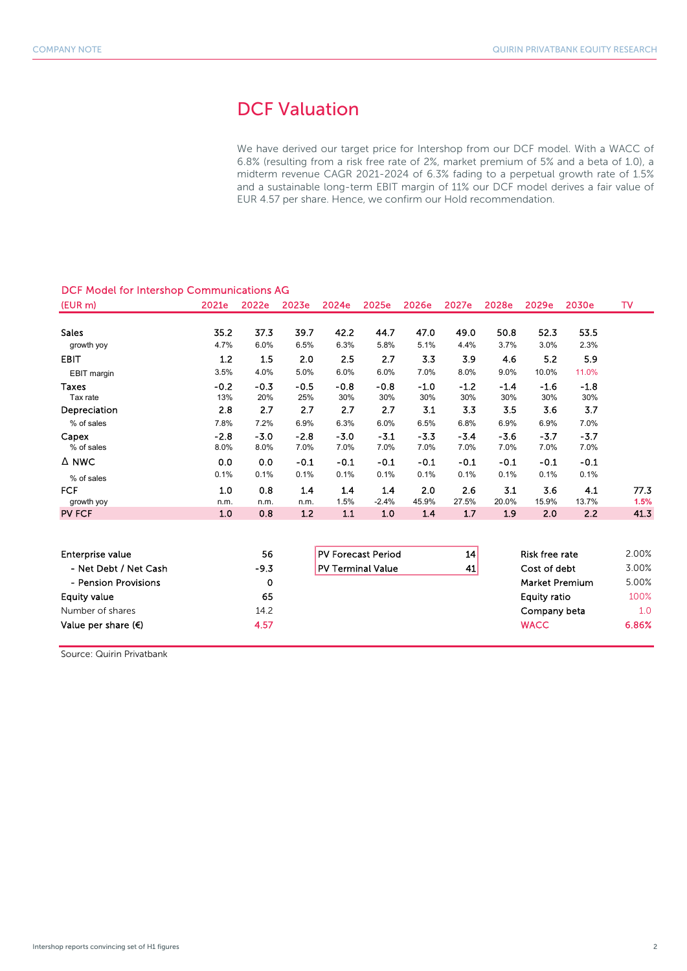# DCF Valuation

We have derived our target price for Intershop from our DCF model. With a WACC of 6.8% (resulting from a risk free rate of 2%, market premium of 5% and a beta of 1.0), a midterm revenue CAGR 2021-2024 of 6.3% fading to a perpetual growth rate of 1.5% and a sustainable long-term EBIT margin of 11% our DCF model derives a fair value of EUR 4.57 per share. Hence, we confirm our Hold recommendation.

### DCF Model for Intershop Communications AG

| (EUR m)                     | 2021e          | 2022e          | 2023e          | 2024e          | 2025e          | 2026e          | 2027e          | 2028e          | 2029e          | 2030e          | т٧           |
|-----------------------------|----------------|----------------|----------------|----------------|----------------|----------------|----------------|----------------|----------------|----------------|--------------|
| <b>Sales</b>                | 35.2           | 37.3           | 39.7           | 42.2           | 44.7           | 47.0           | 49.0           | 50.8           | 52.3           | 53.5           |              |
| growth yoy                  | 4.7%           | 6.0%           | 6.5%           | 6.3%           | 5.8%           | 5.1%           | 4.4%           | 3.7%           | 3.0%           | 2.3%           |              |
| <b>EBIT</b>                 | 1.2            | 1.5            | 2.0            | 2.5            | 2.7            | 3.3            | 3.9            | 4.6            | 5.2            | 5.9            |              |
| EBIT margin                 | 3.5%           | 4.0%           | 5.0%           | 6.0%           | 6.0%           | 7.0%           | 8.0%           | 9.0%           | 10.0%          | 11.0%          |              |
| <b>Taxes</b><br>Tax rate    | $-0.2$<br>13%  | $-0.3$<br>20%  | $-0.5$<br>25%  | $-0.8$<br>30%  | $-0.8$<br>30%  | $-1.0$<br>30%  | $-1.2$<br>30%  | $-1.4$<br>30%  | $-1.6$<br>30%  | $-1.8$<br>30%  |              |
| Depreciation                | 2.8            | 2.7            | 2.7            | 2.7            | 2.7            | 3.1            | 3.3            | 3.5            | 3.6            | 3.7            |              |
| % of sales                  | 7.8%           | 7.2%           | 6.9%           | 6.3%           | 6.0%           | 6.5%           | 6.8%           | 6.9%           | 6.9%           | 7.0%           |              |
| Capex<br>% of sales         | $-2.8$<br>8.0% | $-3.0$<br>8.0% | $-2.8$<br>7.0% | $-3.0$<br>7.0% | $-3.1$<br>7.0% | $-3.3$<br>7.0% | $-3.4$<br>7.0% | $-3.6$<br>7.0% | $-3.7$<br>7.0% | $-3.7$<br>7.0% |              |
| A NWC                       | 0.0            | 0.0            | $-0.1$         | $-0.1$         | $-0.1$         | $-0.1$         | $-0.1$         | $-0.1$         | -0.1           | -0.1           |              |
| % of sales                  | 0.1%           | 0.1%           | 0.1%           | 0.1%           | 0.1%           | 0.1%           | 0.1%           | 0.1%           | 0.1%           | 0.1%           |              |
| <b>FCF</b>                  | 1.0            | 0.8            | 1.4            | 1.4            | 1.4            | 2.0            | 2.6            | 3.1            | 3.6            | 4.1            | 77.3         |
| growth yoy<br><b>PV FCF</b> | n.m.<br>1.0    | n.m.<br>0.8    | n.m.<br>1.2    | 1.5%<br>1.1    | $-2.4%$<br>1.0 | 45.9%<br>1.4   | 27.5%<br>1.7   | 20.0%<br>1.9   | 15.9%<br>2.0   | 13.7%<br>2.2   | 1.5%<br>41.3 |

| Enterprise value             | 56     | <b>PV Forecast Period</b> | 14 | <b>Risk free rate</b> | 2.00% |
|------------------------------|--------|---------------------------|----|-----------------------|-------|
| - Net Debt / Net Cash        | $-9.3$ | <b>PV Terminal Value</b>  | 41 | Cost of debt          | 3.00% |
| - Pension Provisions         | 0      |                           |    | <b>Market Premium</b> | 5.00% |
| Equity value                 | 65     |                           |    | Equity ratio          | 100%  |
| Number of shares             | 14.2   |                           |    | Company beta          | 1.0   |
| Value per share $(\epsilon)$ | 4.57   |                           |    | <b>WACC</b>           | 6.86% |

Source: Quirin Privatbank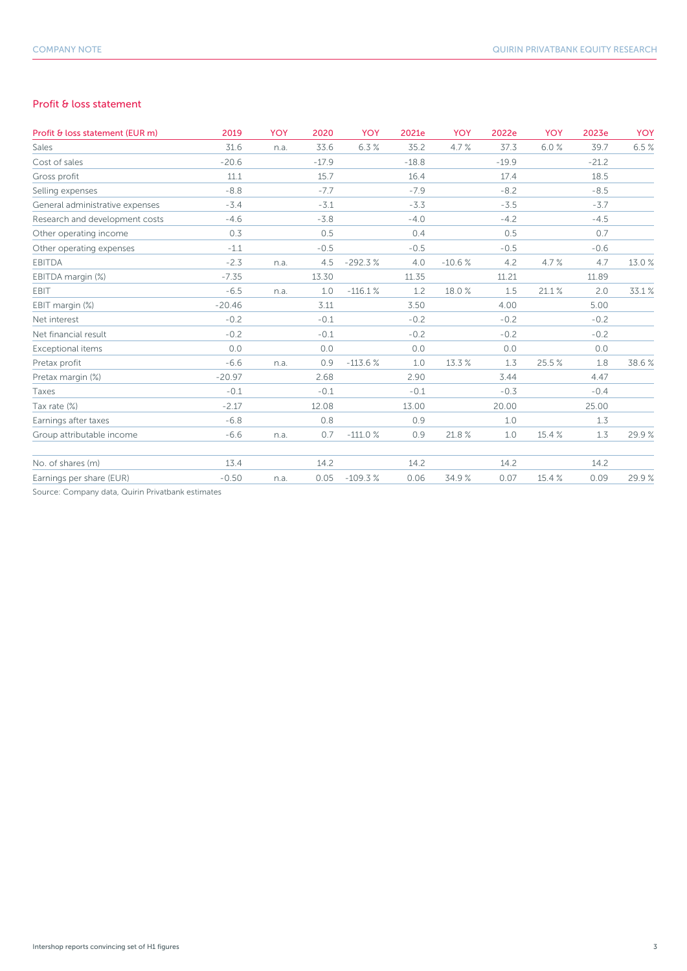### Profit & loss statement

| Profit & loss statement (EUR m)                   | 2019     | <b>YOY</b> | 2020    | YOY       | 2021e   | <b>YOY</b> | 2022e   | <b>YOY</b> | 2023e   | <b>YOY</b> |
|---------------------------------------------------|----------|------------|---------|-----------|---------|------------|---------|------------|---------|------------|
| Sales                                             | 31.6     | n.a.       | 33.6    | 6.3%      | 35.2    | 4.7%       | 37.3    | 6.0%       | 39.7    | 6.5%       |
| Cost of sales                                     | $-20.6$  |            | $-17.9$ |           | $-18.8$ |            | $-19.9$ |            | $-21.2$ |            |
| Gross profit                                      | 11.1     |            | 15.7    |           | 16.4    |            | 17.4    |            | 18.5    |            |
| Selling expenses                                  | $-8.8$   |            | $-7.7$  |           | $-7.9$  |            | $-8.2$  |            | $-8.5$  |            |
| General administrative expenses                   | $-3.4$   |            | $-3.1$  |           | $-3.3$  |            | $-3.5$  |            | $-3.7$  |            |
| Research and development costs                    | $-4.6$   |            | $-3.8$  |           | $-4.0$  |            | $-4.2$  |            | $-4.5$  |            |
| Other operating income                            | 0.3      |            | 0.5     |           | 0.4     |            | 0.5     |            | 0.7     |            |
| Other operating expenses                          | $-1.1$   |            | $-0.5$  |           | $-0.5$  |            | $-0.5$  |            | $-0.6$  |            |
| <b>EBITDA</b>                                     | $-2.3$   | n.a.       | 4.5     | $-292.3%$ | 4.0     | $-10.6%$   | 4.2     | 4.7%       | 4.7     | 13.0%      |
| EBITDA margin (%)                                 | $-7.35$  |            | 13.30   |           | 11.35   |            | 11.21   |            | 11.89   |            |
| <b>EBIT</b>                                       | $-6.5$   | n.a.       | 1.0     | $-116.1%$ | 1.2     | 18.0 %     | 1.5     | 21.1%      | 2.0     | 33.1%      |
| EBIT margin (%)                                   | $-20.46$ |            | 3.11    |           | 3.50    |            | 4.00    |            | 5.00    |            |
| Net interest                                      | $-0.2$   |            | $-0.1$  |           | $-0.2$  |            | $-0.2$  |            | $-0.2$  |            |
| Net financial result                              | $-0.2$   |            | $-0.1$  |           | $-0.2$  |            | $-0.2$  |            | $-0.2$  |            |
| Exceptional items                                 | 0.0      |            | 0.0     |           | 0.0     |            | 0.0     |            | 0.0     |            |
| Pretax profit                                     | $-6.6$   | n.a.       | 0.9     | $-113.6%$ | 1.0     | 13.3 %     | 1.3     | 25.5%      | 1.8     | 38.6%      |
| Pretax margin (%)                                 | $-20.97$ |            | 2.68    |           | 2.90    |            | 3.44    |            | 4.47    |            |
| Taxes                                             | $-0.1$   |            | $-0.1$  |           | $-0.1$  |            | $-0.3$  |            | $-0.4$  |            |
| Tax rate (%)                                      | $-2.17$  |            | 12.08   |           | 13.00   |            | 20.00   |            | 25.00   |            |
| Earnings after taxes                              | $-6.8$   |            | 0.8     |           | 0.9     |            | 1.0     |            | 1.3     |            |
| Group attributable income                         | $-6.6$   | n.a.       | 0.7     | $-111.0%$ | 0.9     | 21.8%      | 1.0     | 15.4 %     | 1.3     | 29.9%      |
| No. of shares (m)                                 | 13.4     |            | 14.2    |           | 14.2    |            | 14.2    |            | 14.2    |            |
| Earnings per share (EUR)                          | $-0.50$  | n.a.       | 0.05    | $-109.3%$ | 0.06    | 34.9%      | 0.07    | 15.4 %     | 0.09    | 29.9%      |
| Source: Company data, Quirin Privatbank estimates |          |            |         |           |         |            |         |            |         |            |

npany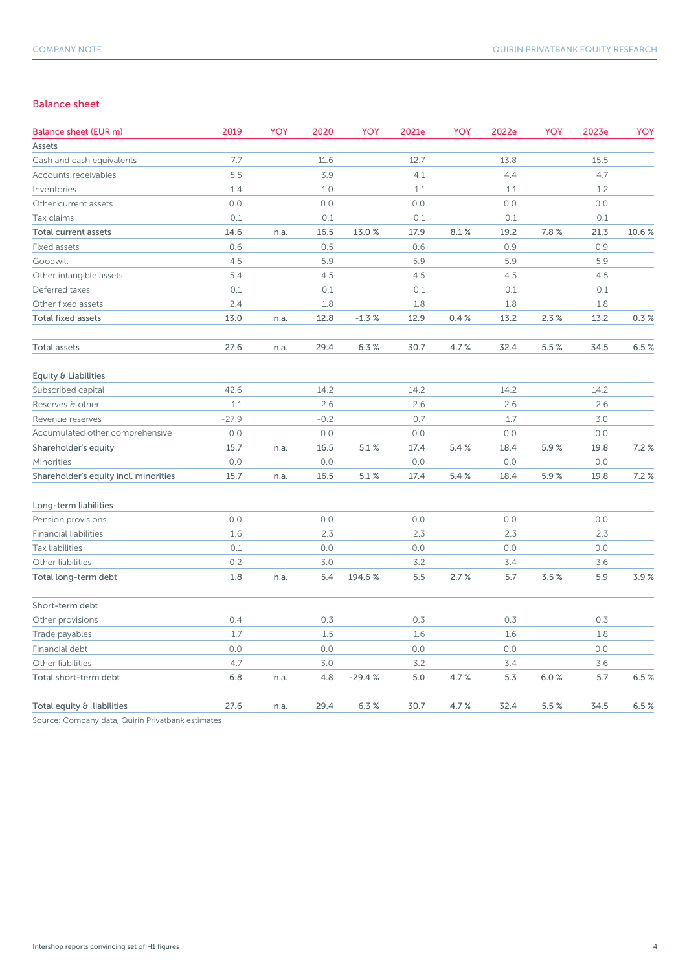#### Balance sheet

| <b>Balance sheet (EUR m)</b>          | 2019    | YOY  | 2020   | YOY      | 2021e | YOY   | 2022e | YOY   | 2023e | YOY   |
|---------------------------------------|---------|------|--------|----------|-------|-------|-------|-------|-------|-------|
| Assets                                |         |      |        |          |       |       |       |       |       |       |
| Cash and cash equivalents             | 7.7     |      | 11.6   |          | 12.7  |       | 13.8  |       | 15.5  |       |
| Accounts receivables                  | 5.5     |      | 3.9    |          | 4.1   |       | 4.4   |       | 4.7   |       |
| Inventories                           | 1.4     |      | 1.0    |          | 1.1   |       | 1.1   |       | 1.2   |       |
| Other current assets                  | 0.0     |      | 0.0    |          | 0.0   |       | 0.0   |       | 0.0   |       |
| Tax claims                            | 0.1     |      | 0.1    |          | 0.1   |       | 0.1   |       | 0.1   |       |
| Total current assets                  | 14.6    | n.a. | 16.5   | 13.0%    | 17.9  | 8.1%  | 19.2  | 7.8%  | 21.3  | 10.6% |
| Fixed assets                          | 0.6     |      | 0.5    |          | 0.6   |       | 0.9   |       | 0.9   |       |
| Goodwill                              | 4.5     |      | 5.9    |          | 5.9   |       | 5.9   |       | 5.9   |       |
| Other intangible assets               | 5.4     |      | 4.5    |          | 4.5   |       | 4.5   |       | 4.5   |       |
| Deferred taxes                        | 0.1     |      | 0.1    |          | 0.1   |       | 0.1   |       | 0.1   |       |
| Other fixed assets                    | 2.4     |      | 1.8    |          | 1.8   |       | 1.8   |       | 1.8   |       |
| <b>Total fixed assets</b>             | 13.0    | n.a. | 12.8   | $-1.3%$  | 12.9  | 0.4%  | 13.2  | 2.3%  | 13.2  | 0.3%  |
| Total assets                          | 27.6    | n.a. | 29.4   | 6.3%     | 30.7  | 4.7%  | 32.4  | 5.5 % | 34.5  | 6.5%  |
| Equity & Liabilities                  |         |      |        |          |       |       |       |       |       |       |
| Subscribed capital                    | 42.6    |      | 14.2   |          | 14.2  |       | 14.2  |       | 14.2  |       |
| Reserves & other                      | 1.1     |      | 2.6    |          | 2.6   |       | 2.6   |       | 2.6   |       |
| Revenue reserves                      | $-27.9$ |      | $-0.2$ |          | 0.7   |       | 1.7   |       | 3.0   |       |
| Accumulated other comprehensive       | 0.0     |      | 0.0    |          | 0.0   |       | 0.0   |       | 0.0   |       |
| Shareholder's equity                  | 15.7    | n.a. | 16.5   | 5.1%     | 17.4  | 5.4%  | 18.4  | 5.9%  | 19.8  | 7.2%  |
| Minorities                            | 0.0     |      | 0.0    |          | 0.0   |       | 0.0   |       | 0.0   |       |
| Shareholder's equity incl. minorities | 15.7    | n.a. | 16.5   | 5.1%     | 17.4  | 5.4 % | 18.4  | 5.9%  | 19.8  | 7.2%  |
| Long-term liabilities                 |         |      |        |          |       |       |       |       |       |       |
| Pension provisions                    | 0.0     |      | 0.0    |          | 0.0   |       | 0.0   |       | 0.0   |       |
| <b>Financial liabilities</b>          | 1.6     |      | 2.3    |          | 2.3   |       | 2.3   |       | 2.3   |       |
| Tax liabilities                       | 0.1     |      | 0.0    |          | 0.0   |       | 0.0   |       | 0.0   |       |
| Other liabilities                     | 0.2     |      | 3.0    |          | 3.2   |       | 3.4   |       | 3.6   |       |
| Total long-term debt                  | 1.8     | n.a. | 5.4    | 194.6%   | 5.5   | 2.7%  | 5.7   | 3.5%  | 5.9   | 3.9%  |
| Short-term debt                       |         |      |        |          |       |       |       |       |       |       |
| Other provisions                      | 0.4     |      | 0.3    |          | 0.3   |       | 0.3   |       | 0.3   |       |
| Trade payables                        | 1.7     |      | 1.5    |          | 1.6   |       | 1.6   |       | 1.8   |       |
| Financial debt                        | 0.0     |      | 0.0    |          | 0.0   |       | 0.0   |       | 0.0   |       |
| Other liabilities                     | 4.7     |      | 3.0    |          | 3.2   |       | 3.4   |       | 3.6   |       |
| Total short-term debt                 | 6.8     | n.a. | 4.8    | $-29.4%$ | 5.0   | 4.7%  | 5.3   | 6.0%  | 5.7   | 6.5%  |
| Total equity & liabilities            | 27.6    | n.a. | 29.4   | 6.3%     | 30.7  | 4.7%  | 32.4  | 5.5%  | 34.5  | 6.5%  |
|                                       |         |      |        |          |       |       |       |       |       |       |

Source: Company data, Quirin Privatbank estimates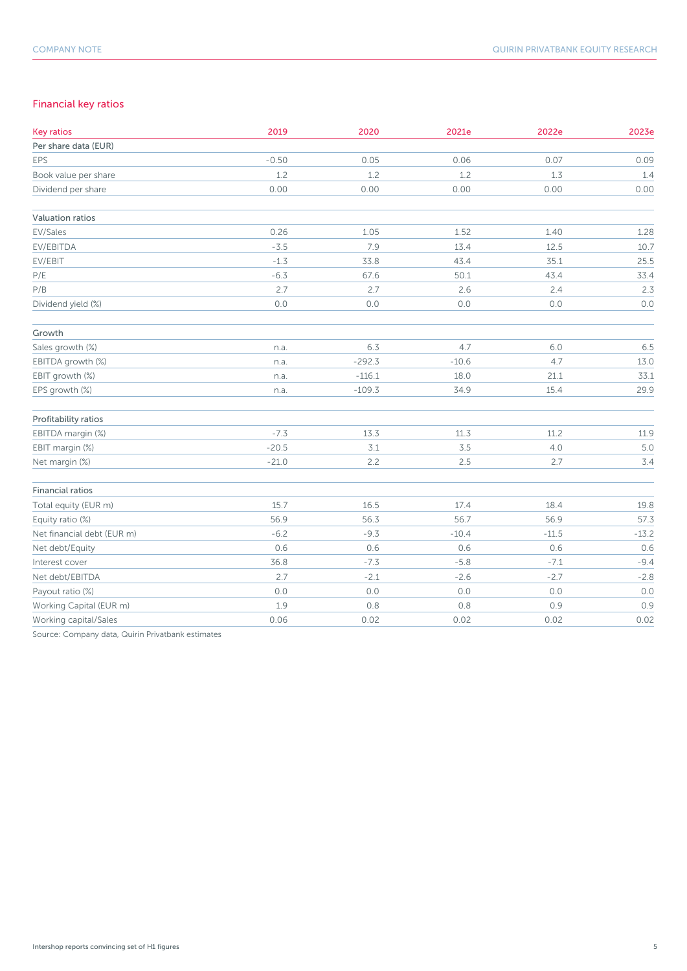## Financial key ratios

| <b>Key ratios</b>          | 2019    | 2020     | 2021e   | 2022e   | 2023e   |
|----------------------------|---------|----------|---------|---------|---------|
| Per share data (EUR)       |         |          |         |         |         |
| <b>EPS</b>                 | $-0.50$ | 0.05     | 0.06    | 0.07    | 0.09    |
| Book value per share       | 1.2     | 1.2      | 1.2     | 1.3     | 1.4     |
| Dividend per share         | 0.00    | 0.00     | 0.00    | 0.00    | 0.00    |
| Valuation ratios           |         |          |         |         |         |
| EV/Sales                   | 0.26    | 1.05     | 1.52    | 1.40    | 1.28    |
| EV/EBITDA                  | $-3.5$  | 7.9      | 13.4    | 12.5    | 10.7    |
| EV/EBIT                    | $-1.3$  | 33.8     | 43.4    | 35.1    | 25.5    |
| P/E                        | $-6.3$  | 67.6     | 50.1    | 43.4    | 33.4    |
| P/B                        | 2.7     | 2.7      | 2.6     | 2.4     | 2.3     |
| Dividend yield (%)         | 0.0     | 0.0      | $0.0$   | $0.0\,$ | $0.0$   |
| Growth                     |         |          |         |         |         |
| Sales growth (%)           | n.a.    | 6.3      | 4.7     | 6.0     | 6.5     |
| EBITDA growth (%)          | n.a.    | $-292.3$ | $-10.6$ | 4.7     | 13.0    |
| EBIT growth (%)            | n.a.    | $-116.1$ | 18.0    | 21.1    | 33.1    |
| EPS growth (%)             | n.a.    | $-109.3$ | 34.9    | 15.4    | 29.9    |
| Profitability ratios       |         |          |         |         |         |
| EBITDA margin (%)          | $-7.3$  | 13.3     | 11.3    | 11.2    | 11.9    |
| EBIT margin (%)            | $-20.5$ | 3.1      | $3.5\,$ | $4.0$   | 5.0     |
| Net margin (%)             | $-21.0$ | 2.2      | 2.5     | 2.7     | 3.4     |
| Financial ratios           |         |          |         |         |         |
| Total equity (EUR m)       | 15.7    | 16.5     | 17.4    | 18.4    | 19.8    |
| Equity ratio (%)           | 56.9    | 56.3     | 56.7    | 56.9    | 57.3    |
| Net financial debt (EUR m) | $-6.2$  | $-9.3$   | $-10.4$ | $-11.5$ | $-13.2$ |
| Net debt/Equity            | 0.6     | 0.6      | 0.6     | 0.6     | 0.6     |
| Interest cover             | 36.8    | $-7.3$   | $-5.8$  | $-7.1$  | $-9.4$  |
| Net debt/EBITDA            | 2.7     | $-2.1$   | $-2.6$  | $-2.7$  | $-2.8$  |
| Payout ratio (%)           | 0.0     | 0.0      | 0.0     | 0.0     | 0.0     |
| Working Capital (EUR m)    | 1.9     | 0.8      | 0.8     | 0.9     | 0.9     |
| Working capital/Sales      | 0.06    | 0.02     | 0.02    | 0.02    | 0.02    |

Source: Company data, Quirin Privatbank estimates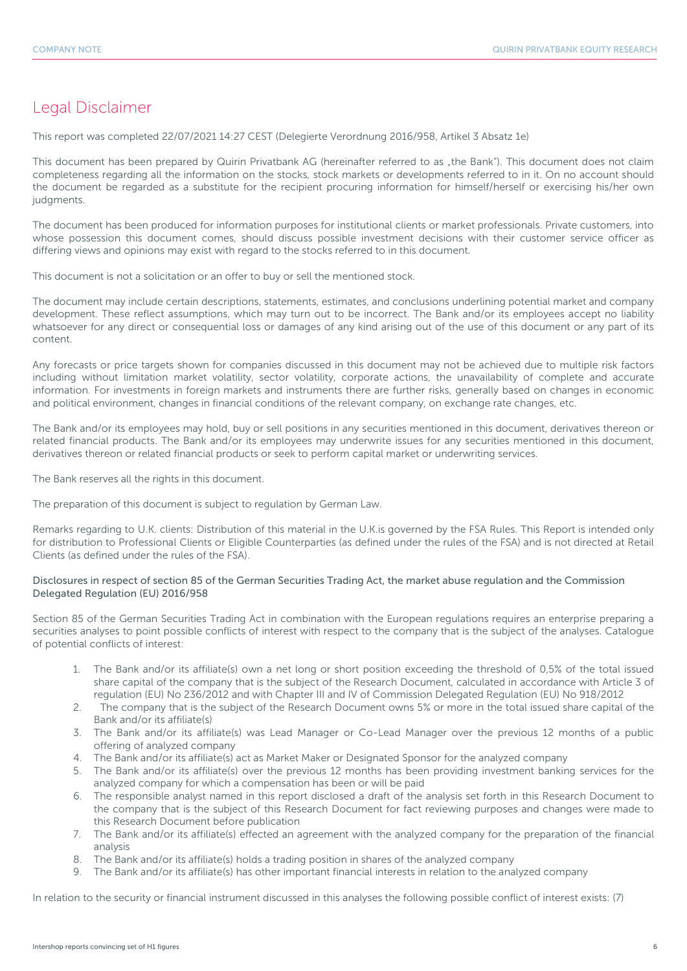## Legal Disclaimer

This report was completed 22/07/2021 14:27 CEST (Delegierte Verordnung 2016/958, Artikel 3 Absatz 1e)

This document has been prepared by Quirin Privatbank AG (hereinafter referred to as "the Bank"). This document does not claim completeness regarding all the information on the stocks, stock markets or developments referred to in it. On no account should the document be regarded as a substitute for the recipient procuring information for himself/herself or exercising his/her own judgments.

The document has been produced for information purposes for institutional clients or market professionals. Private customers, into whose possession this document comes, should discuss possible investment decisions with their customer service officer as differing views and opinions may exist with regard to the stocks referred to in this document.

This document is not a solicitation or an offer to buy or sell the mentioned stock.

The document may include certain descriptions, statements, estimates, and conclusions underlining potential market and company development. These reflect assumptions, which may turn out to be incorrect. The Bank and/or its employees accept no liability whatsoever for any direct or consequential loss or damages of any kind arising out of the use of this document or any part of its content.

Any forecasts or price targets shown for companies discussed in this document may not be achieved due to multiple risk factors including without limitation market volatility, sector volatility, corporate actions, the unavailability of complete and accurate information. For investments in foreign markets and instruments there are further risks, generally based on changes in economic and political environment, changes in financial conditions of the relevant company, on exchange rate changes, etc.

The Bank and/or its employees may hold, buy or sell positions in any securities mentioned in this document, derivatives thereon or related financial products. The Bank and/or its employees may underwrite issues for any securities mentioned in this document, derivatives thereon or related financial products or seek to perform capital market or underwriting services.

The Bank reserves all the rights in this document.

The preparation of this document is subject to regulation by German Law.

Remarks regarding to U.K. clients: Distribution of this material in the U.K.is governed by the FSA Rules. This Report is intended only for distribution to Professional Clients or Eligible Counterparties (as defined under the rules of the FSA) and is not directed at Retail Clients (as defined under the rules of the FSA).

#### Disclosures in respect of section 85 of the German Securities Trading Act, the market abuse regulation and the Commission Delegated Regulation (EU) 2016/958

Section 85 of the German Securities Trading Act in combination with the European regulations requires an enterprise preparing a securities analyses to point possible conflicts of interest with respect to the company that is the subject of the analyses. Catalogue of potential conflicts of interest:

- 1. The Bank and/or its affiliate(s) own a net long or short position exceeding the threshold of 0,5% of the total issued share capital of the company that is the subject of the Research Document, calculated in accordance with Article 3 of regulation (EU) No 236/2012 and with Chapter III and IV of Commission Delegated Regulation (EU) No 918/2012
- 2. The company that is the subject of the Research Document owns 5% or more in the total issued share capital of the Bank and/or its affiliate(s)
- 3. The Bank and/or its affiliate(s) was Lead Manager or Co-Lead Manager over the previous 12 months of a public offering of analyzed company
- 4. The Bank and/or its affiliate(s) act as Market Maker or Designated Sponsor for the analyzed company
- 5. The Bank and/or its affiliate(s) over the previous 12 months has been providing investment banking services for the analyzed company for which a compensation has been or will be paid
- 6. The responsible analyst named in this report disclosed a draft of the analysis set forth in this Research Document to the company that is the subject of this Research Document for fact reviewing purposes and changes were made to this Research Document before publication
- 7. The Bank and/or its affiliate(s) effected an agreement with the analyzed company for the preparation of the financial analysis
- 8. The Bank and/or its affiliate(s) holds a trading position in shares of the analyzed company
- 9. The Bank and/or its affiliate(s) has other important financial interests in relation to the analyzed company

In relation to the security or financial instrument discussed in this analyses the following possible conflict of interest exists: (7)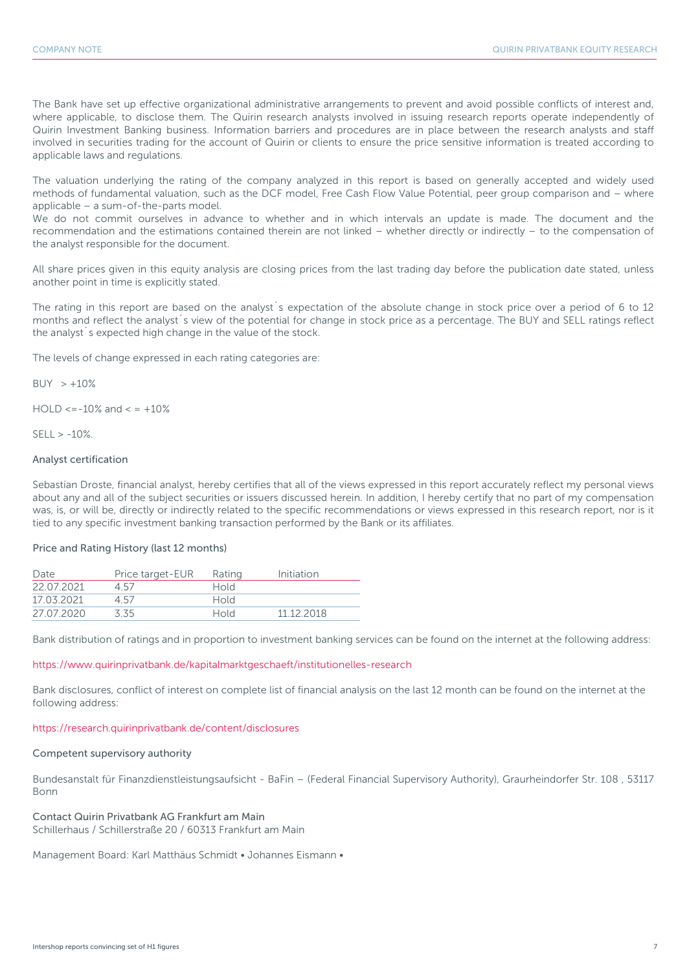The Bank have set up effective organizational administrative arrangements to prevent and avoid possible conflicts of interest and, where applicable, to disclose them. The Quirin research analysts involved in issuing research reports operate independently of Quirin Investment Banking business. Information barriers and procedures are in place between the research analysts and staff involved in securities trading for the account of Quirin or clients to ensure the price sensitive information is treated according to applicable laws and regulations.

The valuation underlying the rating of the company analyzed in this report is based on generally accepted and widely used methods of fundamental valuation, such as the DCF model, Free Cash Flow Value Potential, peer group comparison and – where applicable – a sum-of-the-parts model.

We do not commit ourselves in advance to whether and in which intervals an update is made. The document and the recommendation and the estimations contained therein are not linked – whether directly or indirectly – to the compensation of the analyst responsible for the document.

All share prices given in this equity analysis are closing prices from the last trading day before the publication date stated, unless another point in time is explicitly stated.

The rating in this report are based on the analyst´s expectation of the absolute change in stock price over a period of 6 to 12 months and reflect the analyst´s view of the potential for change in stock price as a percentage. The BUY and SELL ratings reflect the analyst´s expected high change in the value of the stock.

The levels of change expressed in each rating categories are:

 $BUY > +10%$ 

 $HOLD \le -10\%$  and  $\le +10\%$ 

 $SFII > -10%$ 

#### Analyst certification

Sebastian Droste, financial analyst, hereby certifies that all of the views expressed in this report accurately reflect my personal views about any and all of the subject securities or issuers discussed herein. In addition, I hereby certify that no part of my compensation was, is, or will be, directly or indirectly related to the specific recommendations or views expressed in this research report, nor is it tied to any specific investment banking transaction performed by the Bank or its affiliates.

#### Price and Rating History (last 12 months)

| Date       | Price target-EUR | Rating      | Initiation |
|------------|------------------|-------------|------------|
| 22 07 2021 | 4.57             | Hold        |            |
| 17 03 2021 | 457              | <b>Hold</b> |            |
| 27.07.2020 | 3.35             | Hold        | 11 12 2018 |

Bank distribution of ratings and in proportion to investment banking services can be found on the internet at the following address:

#### https://www.quirinprivatbank.de/kapitalmarktgeschaeft/institutionelles-research

Bank disclosures, conflict of interest on complete list of financial analysis on the last 12 month can be found on the internet at the following address:

#### https://research.quirinprivatbank.de/content/disclosures

#### Competent supervisory authority

Bundesanstalt für Finanzdienstleistungsaufsicht - BaFin – (Federal Financial Supervisory Authority), Graurheindorfer Str. 108 , 53117 Bonn

#### Contact Quirin Privatbank AG Frankfurt am Main

Schillerhaus / Schillerstraße 20 / 60313 Frankfurt am Main

Management Board: Karl Matthäus Schmidt • Johannes Eismann •